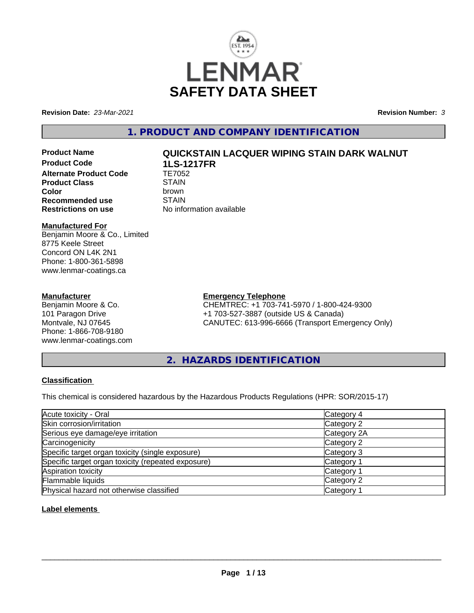

**Revision Date:** *23-Mar-2021* **Revision Number:** *3*

# **1. PRODUCT AND COMPANY IDENTIFICATION**

**Product Code 1LS-1217FR Alternate Product Code TE7052**<br>Product Class STAIN **Product Class** STAIN<br> **Color Recommended use** STAIN<br> **Restrictions on use** No info

# **Product Name QUICKSTAIN LACQUER WIPING STAIN DARK WALNUT**

**Color** brown **No information available** 

#### **Manufactured For**

Benjamin Moore & Co., Limited 8775 Keele Street Concord ON L4K 2N1 Phone: 1-800-361-5898 www.lenmar-coatings.ca

#### **Manufacturer**

Benjamin Moore & Co. 101 Paragon Drive Montvale, NJ 07645 Phone: 1-866-708-9180 www.lenmar-coatings.com

# **Emergency Telephone**

CHEMTREC: +1 703-741-5970 / 1-800-424-9300 +1 703-527-3887 (outside US & Canada) CANUTEC: 613-996-6666 (Transport Emergency Only)

**2. HAZARDS IDENTIFICATION**

## **Classification**

This chemical is considered hazardous by the Hazardous Products Regulations (HPR: SOR/2015-17)

| Acute toxicity - Oral                              | Category 4            |  |
|----------------------------------------------------|-----------------------|--|
| Skin corrosion/irritation                          | Category 2            |  |
| Serious eye damage/eye irritation                  | Category 2A           |  |
| Carcinogenicity                                    | Category 2            |  |
| Specific target organ toxicity (single exposure)   | Category 3            |  |
| Specific target organ toxicity (repeated exposure) | Category 1            |  |
| Aspiration toxicity                                | Category '            |  |
| Flammable liquids                                  | Category 2            |  |
| Physical hazard not otherwise classified           | Category <sup>2</sup> |  |

## **Label elements**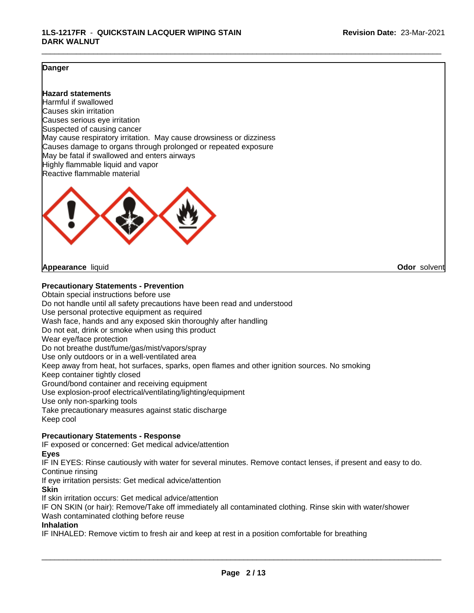### **Danger**

#### **Hazard statements**

Harmful if swallowed Causes skin irritation Causes serious eye irritation Suspected of causing cancer May cause respiratory irritation. May cause drowsiness or dizziness Causes damage to organs through prolonged or repeated exposure May be fatal if swallowed and enters airways Highly flammable liquid and vapor Reactive flammable material



#### **Appearance** liquid **Odor** solvent

**Precautionary Statements - Prevention**

Obtain special instructions before use Do not handle until all safety precautions have been read and understood Use personal protective equipment as required Wash face, hands and any exposed skin thoroughly after handling Do not eat, drink or smoke when using this product Wear eye/face protection Do not breathe dust/fume/gas/mist/vapors/spray Use only outdoors or in a well-ventilated area Keep away from heat, hot surfaces, sparks, open flames and other ignition sources. No smoking Keep container tightly closed Ground/bond container and receiving equipment Use explosion-proof electrical/ventilating/lighting/equipment Use only non-sparking tools Take precautionary measures against static discharge Keep cool **Precautionary Statements - Response**

IF exposed or concerned: Get medical advice/attention

**Eyes**

IF IN EYES: Rinse cautiously with water for several minutes. Remove contact lenses, if present and easy to do. Continue rinsing

If eye irritation persists: Get medical advice/attention

**Skin**

If skin irritation occurs: Get medical advice/attention

IF ON SKIN (or hair): Remove/Take off immediately all contaminated clothing. Rinse skin with water/shower Wash contaminated clothing before reuse

#### **Inhalation**

IF INHALED: Remove victim to fresh air and keep at rest in a position comfortable for breathing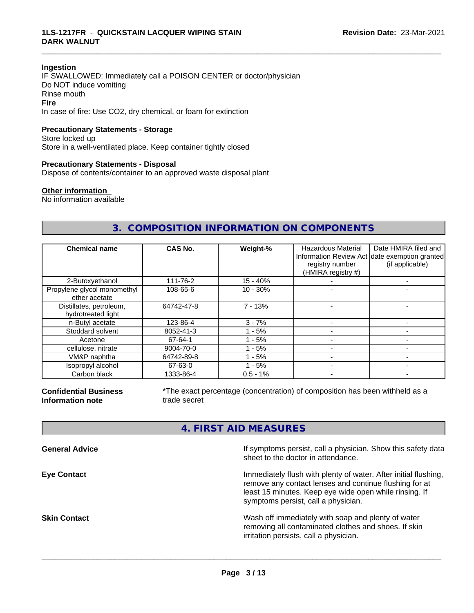#### **Ingestion**

IF SWALLOWED: Immediately call a POISON CENTER or doctor/physician Do NOT induce vomiting Rinse mouth **Fire** In case of fire: Use CO2, dry chemical, or foam for extinction

# **Precautionary Statements - Storage**

Store locked up Store in a well-ventilated place. Keep container tightly closed

#### **Precautionary Statements - Disposal**

Dispose of contents/container to an approved waste disposal plant

#### **Other information**

No information available

# **3. COMPOSITION INFORMATION ON COMPONENTS**

\_\_\_\_\_\_\_\_\_\_\_\_\_\_\_\_\_\_\_\_\_\_\_\_\_\_\_\_\_\_\_\_\_\_\_\_\_\_\_\_\_\_\_\_\_\_\_\_\_\_\_\_\_\_\_\_\_\_\_\_\_\_\_\_\_\_\_\_\_\_\_\_\_\_\_\_\_\_\_\_\_\_\_\_\_\_\_\_\_\_\_\_\_

| <b>Chemical name</b>                          | <b>CAS No.</b> | Weight-%    | <b>Hazardous Material</b><br>registry number<br>(HMIRA registry #) | Date HMIRA filed and<br>Information Review Act date exemption granted<br>(if applicable) |
|-----------------------------------------------|----------------|-------------|--------------------------------------------------------------------|------------------------------------------------------------------------------------------|
| 2-Butoxyethanol                               | 111-76-2       | $15 - 40%$  |                                                                    |                                                                                          |
| Propylene glycol monomethyl<br>ether acetate  | 108-65-6       | $10 - 30%$  |                                                                    |                                                                                          |
| Distillates, petroleum,<br>hydrotreated light | 64742-47-8     | $7 - 13%$   |                                                                    |                                                                                          |
| n-Butyl acetate                               | 123-86-4       | $3 - 7%$    |                                                                    |                                                                                          |
| Stoddard solvent                              | 8052-41-3      | - 5%        |                                                                    |                                                                                          |
| Acetone                                       | 67-64-1        | $1 - 5%$    |                                                                    |                                                                                          |
| cellulose, nitrate                            | 9004-70-0      | $1 - 5%$    |                                                                    |                                                                                          |
| VM&P naphtha                                  | 64742-89-8     | - 5%        |                                                                    |                                                                                          |
| Isopropyl alcohol                             | 67-63-0        | $1 - 5%$    |                                                                    |                                                                                          |
| Carbon black                                  | 1333-86-4      | $0.5 - 1\%$ |                                                                    |                                                                                          |

**Confidential Business Information note**

\*The exact percentage (concentration) of composition has been withheld as a trade secret

# **4. FIRST AID MEASURES**

| <b>General Advice</b> | If symptoms persist, call a physician. Show this safety data<br>sheet to the doctor in attendance.                                                                                                                         |
|-----------------------|----------------------------------------------------------------------------------------------------------------------------------------------------------------------------------------------------------------------------|
| <b>Eye Contact</b>    | Immediately flush with plenty of water. After initial flushing,<br>remove any contact lenses and continue flushing for at<br>least 15 minutes. Keep eye wide open while rinsing. If<br>symptoms persist, call a physician. |
| <b>Skin Contact</b>   | Wash off immediately with soap and plenty of water<br>removing all contaminated clothes and shoes. If skin<br>irritation persists, call a physician.                                                                       |
|                       |                                                                                                                                                                                                                            |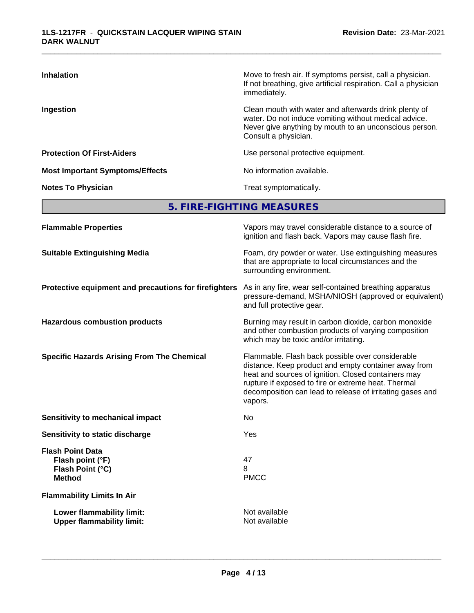| <b>Inhalation</b>                      | Move to fresh air. If symptoms persist, call a physician.<br>If not breathing, give artificial respiration. Call a physician<br>immediately.                                                     |
|----------------------------------------|--------------------------------------------------------------------------------------------------------------------------------------------------------------------------------------------------|
| Ingestion                              | Clean mouth with water and afterwards drink plenty of<br>water. Do not induce vomiting without medical advice.<br>Never give anything by mouth to an unconscious person.<br>Consult a physician. |
| <b>Protection Of First-Aiders</b>      | Use personal protective equipment.                                                                                                                                                               |
| <b>Most Important Symptoms/Effects</b> | No information available.                                                                                                                                                                        |
| <b>Notes To Physician</b>              | Treat symptomatically.                                                                                                                                                                           |

**5. FIRE-FIGHTING MEASURES**

| Vapors may travel considerable distance to a source of<br>ignition and flash back. Vapors may cause flash fire.                                                                                                                                                                                |
|------------------------------------------------------------------------------------------------------------------------------------------------------------------------------------------------------------------------------------------------------------------------------------------------|
| Foam, dry powder or water. Use extinguishing measures<br>that are appropriate to local circumstances and the<br>surrounding environment.                                                                                                                                                       |
| As in any fire, wear self-contained breathing apparatus<br>Protective equipment and precautions for firefighters<br>pressure-demand, MSHA/NIOSH (approved or equivalent)<br>and full protective gear.                                                                                          |
| Burning may result in carbon dioxide, carbon monoxide<br>and other combustion products of varying composition<br>which may be toxic and/or irritating.                                                                                                                                         |
| Flammable. Flash back possible over considerable<br>distance. Keep product and empty container away from<br>heat and sources of ignition. Closed containers may<br>rupture if exposed to fire or extreme heat. Thermal<br>decomposition can lead to release of irritating gases and<br>vapors. |
| No                                                                                                                                                                                                                                                                                             |
| Yes                                                                                                                                                                                                                                                                                            |
| 47<br>8<br><b>PMCC</b>                                                                                                                                                                                                                                                                         |
|                                                                                                                                                                                                                                                                                                |
| Not available<br>Not available                                                                                                                                                                                                                                                                 |
|                                                                                                                                                                                                                                                                                                |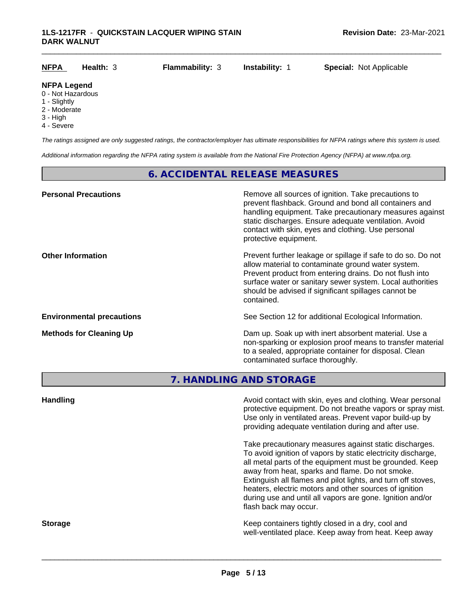| <b>NFPA</b>                             | Health: $3$ | <b>Flammability: 3</b> | <b>Instability: 1</b> | <b>Special: Not Applicable</b> |
|-----------------------------------------|-------------|------------------------|-----------------------|--------------------------------|
| <b>NFPA Legend</b><br>0 - Not Hazardous |             |                        |                       |                                |
| 1 - Slightly                            |             |                        |                       |                                |

- 2 Moderate
- 3 High
- 
- 4 Severe

*The ratings assigned are only suggested ratings, the contractor/employer has ultimate responsibilities for NFPA ratings where this system is used.*

*Additional information regarding the NFPA rating system is available from the National Fire Protection Agency (NFPA) at www.nfpa.org.*

# **6. ACCIDENTAL RELEASE MEASURES**

| <b>Personal Precautions</b>      | Remove all sources of ignition. Take precautions to<br>prevent flashback. Ground and bond all containers and<br>handling equipment. Take precautionary measures against<br>static discharges. Ensure adequate ventilation. Avoid<br>contact with skin, eyes and clothing. Use personal<br>protective equipment.  |
|----------------------------------|------------------------------------------------------------------------------------------------------------------------------------------------------------------------------------------------------------------------------------------------------------------------------------------------------------------|
| <b>Other Information</b>         | Prevent further leakage or spillage if safe to do so. Do not<br>allow material to contaminate ground water system.<br>Prevent product from entering drains. Do not flush into<br>surface water or sanitary sewer system. Local authorities<br>should be advised if significant spillages cannot be<br>contained. |
| <b>Environmental precautions</b> | See Section 12 for additional Ecological Information.                                                                                                                                                                                                                                                            |
| <b>Methods for Cleaning Up</b>   | Dam up. Soak up with inert absorbent material. Use a<br>non-sparking or explosion proof means to transfer material<br>to a sealed, appropriate container for disposal. Clean<br>contaminated surface thoroughly.                                                                                                 |

**7. HANDLING AND STORAGE**

| <b>Handling</b> | Avoid contact with skin, eyes and clothing. Wear personal<br>protective equipment. Do not breathe vapors or spray mist.<br>Use only in ventilated areas. Prevent vapor build-up by<br>providing adequate ventilation during and after use.                                                                                                                                                                                                           |
|-----------------|------------------------------------------------------------------------------------------------------------------------------------------------------------------------------------------------------------------------------------------------------------------------------------------------------------------------------------------------------------------------------------------------------------------------------------------------------|
|                 | Take precautionary measures against static discharges.<br>To avoid ignition of vapors by static electricity discharge,<br>all metal parts of the equipment must be grounded. Keep<br>away from heat, sparks and flame. Do not smoke.<br>Extinguish all flames and pilot lights, and turn off stoves,<br>heaters, electric motors and other sources of ignition<br>during use and until all vapors are gone. Ignition and/or<br>flash back may occur. |
| <b>Storage</b>  | Keep containers tightly closed in a dry, cool and<br>well-ventilated place. Keep away from heat. Keep away                                                                                                                                                                                                                                                                                                                                           |
|                 |                                                                                                                                                                                                                                                                                                                                                                                                                                                      |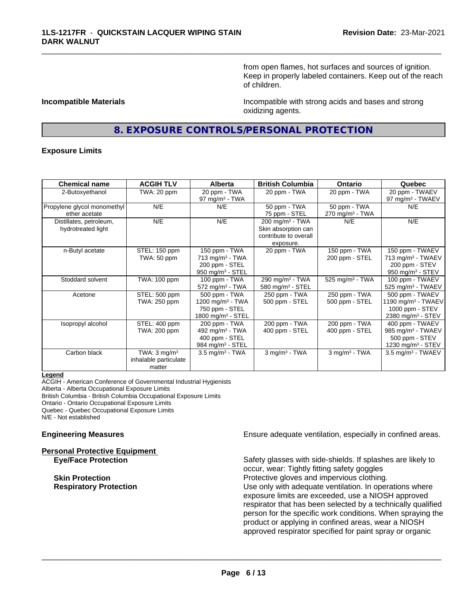from open flames, hot surfaces and sources of ignition. Keep in properly labeled containers. Keep out of the reach of children.

**Incompatible Materials Incompatible with strong acids and bases and strong** oxidizing agents.

# **8. EXPOSURE CONTROLS/PERSONAL PROTECTION**

\_\_\_\_\_\_\_\_\_\_\_\_\_\_\_\_\_\_\_\_\_\_\_\_\_\_\_\_\_\_\_\_\_\_\_\_\_\_\_\_\_\_\_\_\_\_\_\_\_\_\_\_\_\_\_\_\_\_\_\_\_\_\_\_\_\_\_\_\_\_\_\_\_\_\_\_\_\_\_\_\_\_\_\_\_\_\_\_\_\_\_\_\_

#### **Exposure Limits**

| <b>Chemical name</b>        | <b>ACGIH TLV</b>        | Alberta                         | <b>British Columbia</b>       | <b>Ontario</b>                | Quebec                          |
|-----------------------------|-------------------------|---------------------------------|-------------------------------|-------------------------------|---------------------------------|
| 2-Butoxyethanol             | TWA: 20 ppm             | 20 ppm - TWA                    | 20 ppm - TWA                  | 20 ppm - TWA                  | 20 ppm - TWAEV                  |
|                             |                         | 97 mg/m $3$ - TWA               |                               |                               | 97 mg/m <sup>3</sup> - TWAEV    |
| Propylene glycol monomethyl | N/E                     | N/E                             | 50 ppm - TWA                  | 50 ppm - TWA                  | N/E                             |
| ether acetate               |                         |                                 | 75 ppm - STEL                 | $270$ mg/m <sup>3</sup> - TWA |                                 |
| Distillates, petroleum,     | N/E                     | N/E                             | $200$ mg/m <sup>3</sup> - TWA | N/E                           | N/E                             |
| hydrotreated light          |                         |                                 | Skin absorption can           |                               |                                 |
|                             |                         |                                 | contribute to overall         |                               |                                 |
|                             |                         |                                 | exposure.                     |                               |                                 |
| n-Butyl acetate             | STEL: 150 ppm           | 150 ppm - TWA                   | 20 ppm - TWA                  | 150 ppm - TWA                 | 150 ppm - TWAEV                 |
|                             | TWA: 50 ppm             | 713 mg/m <sup>3</sup> - TWA     |                               | 200 ppm - STEL                | 713 mg/m <sup>3</sup> - TWAEV   |
|                             |                         | 200 ppm - STEL                  |                               |                               | 200 ppm - STEV                  |
|                             |                         | 950 mg/m $3 -$ STEL             |                               |                               | 950 mg/m $3 -$ STEV             |
| Stoddard solvent            | TWA: 100 ppm            | 100 ppm - TWA                   | 290 mg/m <sup>3</sup> - TWA   | 525 mg/m <sup>3</sup> - TWA   | 100 ppm - TWAEV                 |
|                             |                         | $572$ mg/m <sup>3</sup> - TWA   | 580 mg/m $3 -$ STEL           |                               | $525$ mg/m <sup>3</sup> - TWAEV |
| Acetone                     | STEL: 500 ppm           | 500 ppm - TWA                   | 250 ppm - TWA                 | 250 ppm - TWA                 | 500 ppm - TWAEV                 |
|                             | TWA: 250 ppm            | 1200 mg/m <sup>3</sup> - TWA    | 500 ppm - STEL                | 500 ppm - STEL                | 1190 mg/m $3$ - TWAEV           |
|                             |                         | 750 ppm - STEL                  |                               |                               | 1000 ppm - STEV                 |
|                             |                         | $1800$ mg/m <sup>3</sup> - STEL |                               |                               | 2380 mg/m <sup>3</sup> - STEV   |
| Isopropyl alcohol           | STEL: 400 ppm           | 200 ppm - TWA                   | 200 ppm - TWA                 | 200 ppm - TWA                 | 400 ppm - TWAEV                 |
|                             | TWA: 200 ppm            | 492 mg/m <sup>3</sup> - TWA     | 400 ppm - STEL                | 400 ppm - STEL                | 985 mg/m <sup>3</sup> - TWAEV   |
|                             |                         | 400 ppm - STEL                  |                               |                               | 500 ppm - STEV                  |
|                             |                         | 984 mg/m <sup>3</sup> - STEL    |                               |                               | 1230 mg/m <sup>3</sup> - STEV   |
| Carbon black                | TWA: $3 \text{ mq/m}^3$ | $3.5 \text{ mg/m}^3$ - TWA      | $3$ mg/m $3$ - TWA            | $3$ mg/m $3$ - TWA            | $3.5$ mg/m <sup>3</sup> - TWAEV |
|                             | inhalable particulate   |                                 |                               |                               |                                 |
|                             | matter                  |                                 |                               |                               |                                 |

#### **Legend**

ACGIH - American Conference of Governmental Industrial Hygienists Alberta - Alberta Occupational Exposure Limits British Columbia - British Columbia Occupational Exposure Limits Ontario - Ontario Occupational Exposure Limits Quebec - Quebec Occupational Exposure Limits N/E - Not established

**Personal Protective Equipment**

**Engineering Measures Ensure adequate ventilation, especially in confined areas.** 

**Eye/Face Protection** Safety glasses with side-shields. If splashes are likely to occur, wear: Tightly fitting safety goggles **Skin Protection Protection Protective gloves and impervious clothing. Respiratory Protection Number 1** (Use only with adequate ventilation. In operations where exposure limits are exceeded, use a NIOSH approved respirator that has been selected by a technically qualified person for the specific work conditions. When spraying the product or applying in confined areas, wear a NIOSH approved respirator specified for paint spray or organic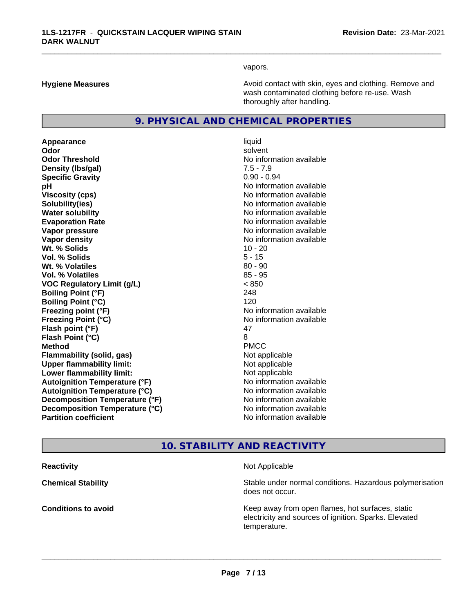vapors.

\_\_\_\_\_\_\_\_\_\_\_\_\_\_\_\_\_\_\_\_\_\_\_\_\_\_\_\_\_\_\_\_\_\_\_\_\_\_\_\_\_\_\_\_\_\_\_\_\_\_\_\_\_\_\_\_\_\_\_\_\_\_\_\_\_\_\_\_\_\_\_\_\_\_\_\_\_\_\_\_\_\_\_\_\_\_\_\_\_\_\_\_\_

**Hygiene Measures Avoid contact with skin, eyes and clothing. Remove and Avoid contact with skin, eyes and clothing. Remove and Avoid contact with skin, eyes and clothing. Remove and** wash contaminated clothing before re-use. Wash thoroughly after handling.

# **9. PHYSICAL AND CHEMICAL PROPERTIES**

**Appearance** liquid **Odor** solvent **Odor Threshold** No information available **Density (lbs/gal)** 7.5 - 7.9 **Specific Gravity** 0.90 - 0.94 **pH** No information available **Viscosity (cps)** No information available **Solubility(ies)** No information available **Water solubility** No information available **Evaporation Rate Evaporation Rate No information available Vapor pressure** No information available in the North American Monte available in the North American available **Vapor density No information available No information available Wt.** % Solids 10 - 20 **Vol. % Solids** 5 - 15 **W<sub>t.</sub> % Volatiles 80 - 90 Vol. % Volatiles** 85 - 95 **VOC Regulatory Limit (g/L)** < 850 **Boiling Point (°F)** 248 **Boiling Point (°C)** 120 **Freezing point (°F)** No information available **Freezing Point (°C)** No information available **Flash point (°F)** 47 **Flash Point (°C)** 8 **Method** PMCC **Flammability (solid, gas)** Not applicable **Upper flammability limit:** Not applicable **Lower flammability limit:** Not applicable **Autoignition Temperature (°F)** No information available **Autoignition Temperature (°C)** No information available **Decomposition Temperature (°F)** No information available **Decomposition Temperature (°C)** No information available<br> **Partition coefficient Partition available** 

**No information available** 

# **10. STABILITY AND REACTIVITY**

**Reactivity Not Applicable Not Applicable** 

 $\overline{\phantom{a}}$  ,  $\overline{\phantom{a}}$  ,  $\overline{\phantom{a}}$  ,  $\overline{\phantom{a}}$  ,  $\overline{\phantom{a}}$  ,  $\overline{\phantom{a}}$  ,  $\overline{\phantom{a}}$  ,  $\overline{\phantom{a}}$  ,  $\overline{\phantom{a}}$  ,  $\overline{\phantom{a}}$  ,  $\overline{\phantom{a}}$  ,  $\overline{\phantom{a}}$  ,  $\overline{\phantom{a}}$  ,  $\overline{\phantom{a}}$  ,  $\overline{\phantom{a}}$  ,  $\overline{\phantom{a}}$ 

**Chemical Stability Chemical Stability** Stable under normal conditions. Hazardous polymerisation does not occur.

**Conditions to avoid Conditions to avoid Reseau All Static Reseau All Keep away from open flames, hot surfaces, static <b>Conditions** electricity and sources of ignition. Sparks. Elevated temperature.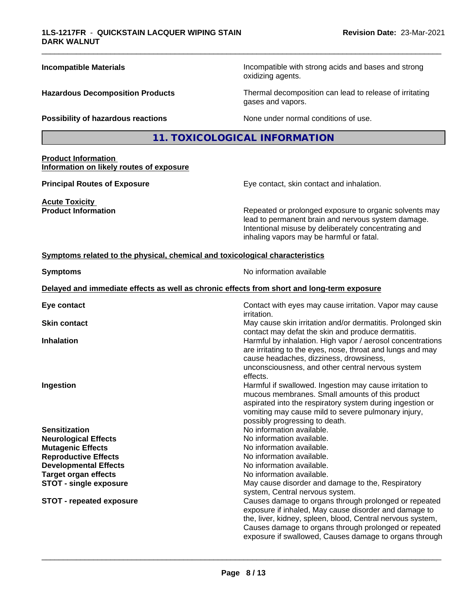| <b>Incompatible Materials</b>                                                   | Incompatible with strong acids and bases and strong<br>oxidizing agents.                                                                                                                                                                                                                        |
|---------------------------------------------------------------------------------|-------------------------------------------------------------------------------------------------------------------------------------------------------------------------------------------------------------------------------------------------------------------------------------------------|
| <b>Hazardous Decomposition Products</b>                                         | Thermal decomposition can lead to release of irritating<br>gases and vapors.                                                                                                                                                                                                                    |
| Possibility of hazardous reactions                                              | None under normal conditions of use.                                                                                                                                                                                                                                                            |
|                                                                                 | 11. TOXICOLOGICAL INFORMATION                                                                                                                                                                                                                                                                   |
| <b>Product Information</b><br>Information on likely routes of exposure          |                                                                                                                                                                                                                                                                                                 |
| <b>Principal Routes of Exposure</b>                                             | Eye contact, skin contact and inhalation.                                                                                                                                                                                                                                                       |
| <b>Acute Toxicity</b><br><b>Product Information</b>                             | Repeated or prolonged exposure to organic solvents may<br>lead to permanent brain and nervous system damage.<br>Intentional misuse by deliberately concentrating and<br>inhaling vapors may be harmful or fatal.                                                                                |
| Symptoms related to the physical, chemical and toxicological characteristics    |                                                                                                                                                                                                                                                                                                 |
| <b>Symptoms</b>                                                                 | No information available                                                                                                                                                                                                                                                                        |
|                                                                                 | Delayed and immediate effects as well as chronic effects from short and long-term exposure                                                                                                                                                                                                      |
| Eye contact                                                                     | Contact with eyes may cause irritation. Vapor may cause<br><i>irritation.</i>                                                                                                                                                                                                                   |
| <b>Skin contact</b>                                                             | May cause skin irritation and/or dermatitis. Prolonged skin<br>contact may defat the skin and produce dermatitis.                                                                                                                                                                               |
| <b>Inhalation</b>                                                               | Harmful by inhalation. High vapor / aerosol concentrations<br>are irritating to the eyes, nose, throat and lungs and may<br>cause headaches, dizziness, drowsiness,<br>unconsciousness, and other central nervous system<br>effects.                                                            |
| Ingestion                                                                       | Harmful if swallowed. Ingestion may cause irritation to<br>mucous membranes. Small amounts of this product<br>aspirated into the respiratory system during ingestion or<br>vomiting may cause mild to severe pulmonary injury,<br>possibly progressing to death.                                |
| <b>Sensitization</b><br><b>Neurological Effects</b><br><b>Mutagenic Effects</b> | No information available.<br>No information available.<br>No information available.                                                                                                                                                                                                             |
| <b>Reproductive Effects</b><br><b>Developmental Effects</b>                     | No information available.<br>No information available.                                                                                                                                                                                                                                          |
| <b>Target organ effects</b>                                                     | No information available.                                                                                                                                                                                                                                                                       |
| <b>STOT - single exposure</b>                                                   | May cause disorder and damage to the, Respiratory<br>system, Central nervous system.                                                                                                                                                                                                            |
| <b>STOT - repeated exposure</b>                                                 | Causes damage to organs through prolonged or repeated<br>exposure if inhaled, May cause disorder and damage to<br>the, liver, kidney, spleen, blood, Central nervous system,<br>Causes damage to organs through prolonged or repeated<br>exposure if swallowed, Causes damage to organs through |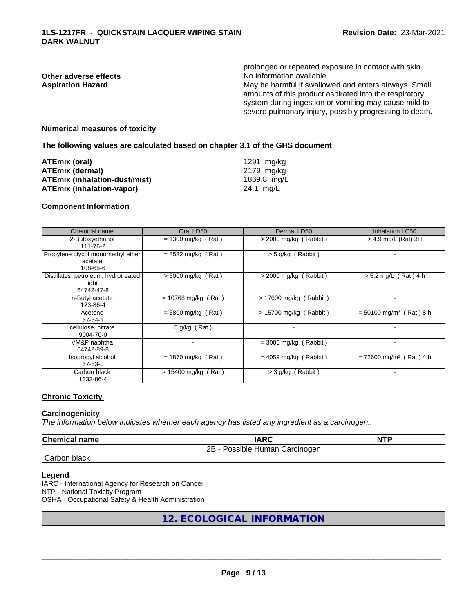|                          | prolonged or repeated exposure in contact with skin.                                                                                                                                                                                |
|--------------------------|-------------------------------------------------------------------------------------------------------------------------------------------------------------------------------------------------------------------------------------|
| Other adverse effects    | No information available.                                                                                                                                                                                                           |
| <b>Aspiration Hazard</b> | May be harmful if swallowed and enters airways. Small<br>amounts of this product aspirated into the respiratory<br>system during ingestion or vomiting may cause mild to<br>severe pulmonary injury, possibly progressing to death. |
|                          |                                                                                                                                                                                                                                     |

#### **Numerical measures of toxicity**

**The following values are calculated based on chapter 3.1 of the GHS document**

| ATEmix (oral)                        | 1291 ma/ka  |
|--------------------------------------|-------------|
| <b>ATEmix (dermal)</b>               | 2179 ma/ka  |
| <b>ATEmix (inhalation-dust/mist)</b> | 1869.8 mg/L |
| <b>ATEmix (inhalation-vapor)</b>     | 24.1 ma/L   |

#### **Component Information**

| Chemical name                                               | Oral LD50                | Dermal LD50              | <b>Inhalation LC50</b>                |
|-------------------------------------------------------------|--------------------------|--------------------------|---------------------------------------|
| 2-Butoxyethanol<br>111-76-2                                 | $= 1300$ mg/kg (Rat)     | $>$ 2000 mg/kg (Rabbit)  | $>$ 4.9 mg/L (Rat) 3H                 |
| Propylene glycol monomethyl ether<br>acetate<br>108-65-6    | $= 8532$ mg/kg (Rat)     | $>$ 5 g/kg (Rabbit)      |                                       |
| Distillates, petroleum, hydrotreated<br>light<br>64742-47-8 | $> 5000$ mg/kg (Rat)     | $>$ 2000 mg/kg (Rabbit)  | $> 5.2$ mg/L (Rat) 4 h                |
| n-Butyl acetate<br>123-86-4                                 | $= 10768$ mg/kg (Rat)    | $> 17600$ mg/kg (Rabbit) |                                       |
| Acetone<br>67-64-1                                          | $= 5800$ mg/kg (Rat)     | > 15700 mg/kg (Rabbit)   | $= 50100$ mg/m <sup>3</sup> (Rat) 8 h |
| cellulose, nitrate<br>9004-70-0                             | $5$ g/kg (Rat)           | $\blacksquare$           |                                       |
| VM&P naphtha<br>64742-89-8                                  | $\overline{\phantom{a}}$ | $=$ 3000 mg/kg (Rabbit)  |                                       |
| Isopropyl alcohol<br>67-63-0                                | $= 1870$ mg/kg (Rat)     | $= 4059$ mg/kg (Rabbit)  | $= 72600$ mg/m <sup>3</sup> (Rat) 4 h |
| Carbon black<br>1333-86-4                                   | $> 15400$ mg/kg (Rat)    | > 3 g/kg (Rabbit)        |                                       |

#### **Chronic Toxicity**

#### **Carcinogenicity**

*The information below indicateswhether each agency has listed any ingredient as a carcinogen:.*

| <b>Chemical name</b> | <b>IARC</b>                         | <b>NTF</b> |
|----------------------|-------------------------------------|------------|
|                      | 2B<br>- Possible Human Carcinogen I |            |
| Carbon black         |                                     |            |

#### **Legend**

IARC - International Agency for Research on Cancer NTP - National Toxicity Program OSHA - Occupational Safety & Health Administration

# **12. ECOLOGICAL INFORMATION**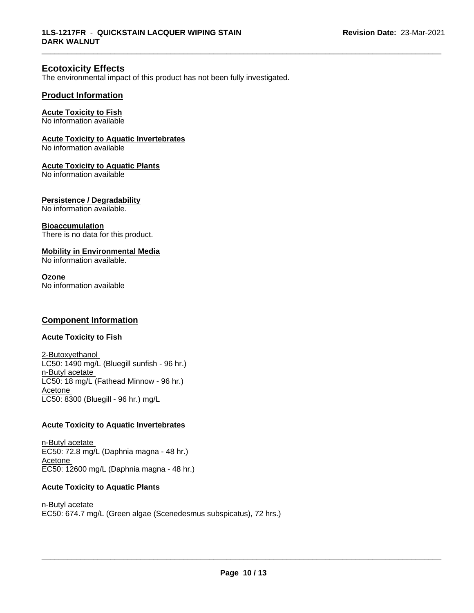# **Ecotoxicity Effects**

The environmental impact of this product has not been fully investigated.

### **Product Information**

### **Acute Toxicity to Fish**

No information available

#### **Acute Toxicity to Aquatic Invertebrates**

No information available

#### **Acute Toxicity to Aquatic Plants**

No information available

#### **Persistence / Degradability**

No information available.

#### **Bioaccumulation**

There is no data for this product.

### **Mobility in Environmental Media**

No information available.

#### **Ozone**

No information available

# **Component Information**

# **Acute Toxicity to Fish**

2-Butoxyethanol LC50: 1490 mg/L (Bluegill sunfish - 96 hr.) n-Butyl acetate LC50: 18 mg/L (Fathead Minnow - 96 hr.) Acetone LC50: 8300 (Bluegill - 96 hr.) mg/L

#### **Acute Toxicity to Aquatic Invertebrates**

n-Butyl acetate EC50: 72.8 mg/L (Daphnia magna - 48 hr.) Acetone EC50: 12600 mg/L (Daphnia magna - 48 hr.)

### **Acute Toxicity to Aquatic Plants**

n-Butyl acetate EC50: 674.7 mg/L (Green algae (Scenedesmus subspicatus), 72 hrs.)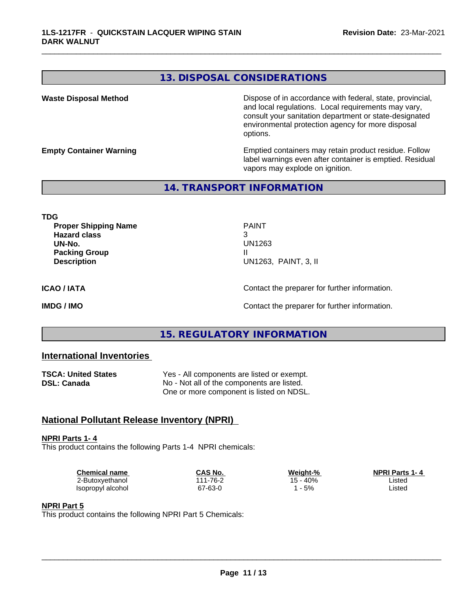# **13. DISPOSAL CONSIDERATIONS**

**Waste Disposal Method Dispose of in accordance with federal, state, provincial,** and local regulations. Local requirements may vary, consult your sanitation department or state-designated environmental protection agency for more disposal options.

**Empty Container Warning <b>Emptied** Containers may retain product residue. Follow label warnings even after container is emptied. Residual vapors may explode on ignition.

# **14. TRANSPORT INFORMATION**

**TDG Proper Shipping Name** PAINT **Hazard class** 3 **UN-No.** UN1263 **Packing Group III Description** UN1263, PAINT, 3, II

\_\_\_\_\_\_\_\_\_\_\_\_\_\_\_\_\_\_\_\_\_\_\_\_\_\_\_\_\_\_\_\_\_\_\_\_\_\_\_\_\_\_\_\_\_\_\_\_\_\_\_\_\_\_\_\_\_\_\_\_\_\_\_\_\_\_\_\_\_\_\_\_\_\_\_\_\_\_\_\_\_\_\_\_\_\_\_\_\_\_\_\_\_

**ICAO / IATA** Contact the preparer for further information.

**IMDG / IMO Contact the preparer for further information.** 

# **15. REGULATORY INFORMATION**

# **International Inventories**

| <b>TSCA: United States</b> | Yes - All components are listed or exempt. |
|----------------------------|--------------------------------------------|
| DSL: Canada                | No - Not all of the components are listed. |
|                            | One or more component is listed on NDSL.   |

# **National Pollutant Release Inventory (NPRI)**

**NPRI Parts 1- 4** This product contains the following Parts 1-4 NPRI chemicals:

| Chemical name     | CAS No.             | Weight-% | <b>NPRI Parts 1-4</b> |  |
|-------------------|---------------------|----------|-----------------------|--|
| ∠-Butoxyethanol   | $1 - 76 - 2$<br>144 | $-40%$   | Listec                |  |
| Isopropyl alcohol | 67-63-0             | 5%       | Listec                |  |

#### **NPRI Part 5**

This product contains the following NPRI Part 5 Chemicals: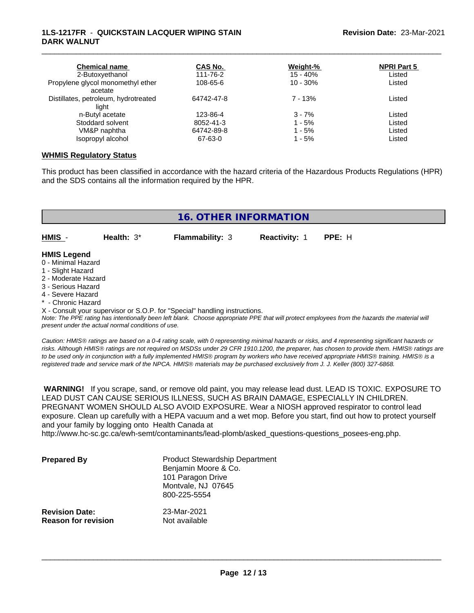### **1LS-1217FR** - **QUICKSTAIN LACQUER WIPING STAIN DARK WALNUT**

| <b>Chemical name</b><br>2-Butoxyethanol | CAS No.<br>111-76-2 | Weight-%<br>$15 - 40%$ | <b>NPRI Part 5</b><br>Listed |
|-----------------------------------------|---------------------|------------------------|------------------------------|
| Propylene glycol monomethyl ether       | 108-65-6            | $10 - 30\%$            | Listed                       |
| acetate                                 |                     |                        |                              |
| Distillates, petroleum, hydrotreated    | 64742-47-8          | $7 - 13%$              | Listed                       |
| light                                   |                     |                        |                              |
| n-Butyl acetate                         | 123-86-4            | $3 - 7%$               | Listed                       |
| Stoddard solvent                        | 8052-41-3           | $1 - 5%$               | Listed                       |
| VM&P naphtha                            | 64742-89-8          | $1 - 5%$               | Listed                       |
| Isopropyl alcohol                       | 67-63-0             | $1 - 5%$               | Listed                       |

\_\_\_\_\_\_\_\_\_\_\_\_\_\_\_\_\_\_\_\_\_\_\_\_\_\_\_\_\_\_\_\_\_\_\_\_\_\_\_\_\_\_\_\_\_\_\_\_\_\_\_\_\_\_\_\_\_\_\_\_\_\_\_\_\_\_\_\_\_\_\_\_\_\_\_\_\_\_\_\_\_\_\_\_\_\_\_\_\_\_\_\_\_

#### **WHMIS Regulatory Status**

This product has been classified in accordance with the hazard criteria of the Hazardous Products Regulations (HPR) and the SDS contains all the information required by the HPR.

|                                                                | <b>16. OTHER INFORMATION</b> |                        |                      |        |  |  |
|----------------------------------------------------------------|------------------------------|------------------------|----------------------|--------|--|--|
| HMIS -                                                         | Health: $3^*$                | <b>Flammability: 3</b> | <b>Reactivity: 1</b> | PPE: H |  |  |
| <b>HMIS Legend</b><br>0 - Minimal Hazard                       |                              |                        |                      |        |  |  |
| 1 - Slight Hazard<br>2 - Moderate Hazard<br>3 - Serious Hazard |                              |                        |                      |        |  |  |

- 3 Serious Hazard
- 4 Severe Hazard
- **Chronic Hazard**

X - Consult your supervisor or S.O.P. for "Special" handling instructions.

*Note: The PPE rating has intentionally been left blank. Choose appropriate PPE that will protect employees from the hazards the material will present under the actual normal conditions of use.*

*Caution: HMISÒ ratings are based on a 0-4 rating scale, with 0 representing minimal hazards or risks, and 4 representing significant hazards or risks. Although HMISÒ ratings are not required on MSDSs under 29 CFR 1910.1200, the preparer, has chosen to provide them. HMISÒ ratings are to be used only in conjunction with a fully implemented HMISÒ program by workers who have received appropriate HMISÒ training. HMISÒ is a registered trade and service mark of the NPCA. HMISÒ materials may be purchased exclusively from J. J. Keller (800) 327-6868.*

 **WARNING!** If you scrape, sand, or remove old paint, you may release lead dust. LEAD IS TOXIC. EXPOSURE TO LEAD DUST CAN CAUSE SERIOUS ILLNESS, SUCH AS BRAIN DAMAGE, ESPECIALLY IN CHILDREN. PREGNANT WOMEN SHOULD ALSO AVOID EXPOSURE. Wear a NIOSH approved respirator to control lead exposure. Clean up carefully with a HEPA vacuum and a wet mop. Before you start, find out how to protect yourself and your family by logging onto Health Canada at

http://www.hc-sc.gc.ca/ewh-semt/contaminants/lead-plomb/asked\_questions-questions\_posees-eng.php.

| <b>Prepared By</b>                                  | <b>Product Stewardship Department</b><br>Benjamin Moore & Co.<br>101 Paragon Drive<br>Montvale, NJ 07645<br>800-225-5554 |  |
|-----------------------------------------------------|--------------------------------------------------------------------------------------------------------------------------|--|
| <b>Revision Date:</b><br><b>Reason for revision</b> | 23-Mar-2021<br>Not available                                                                                             |  |